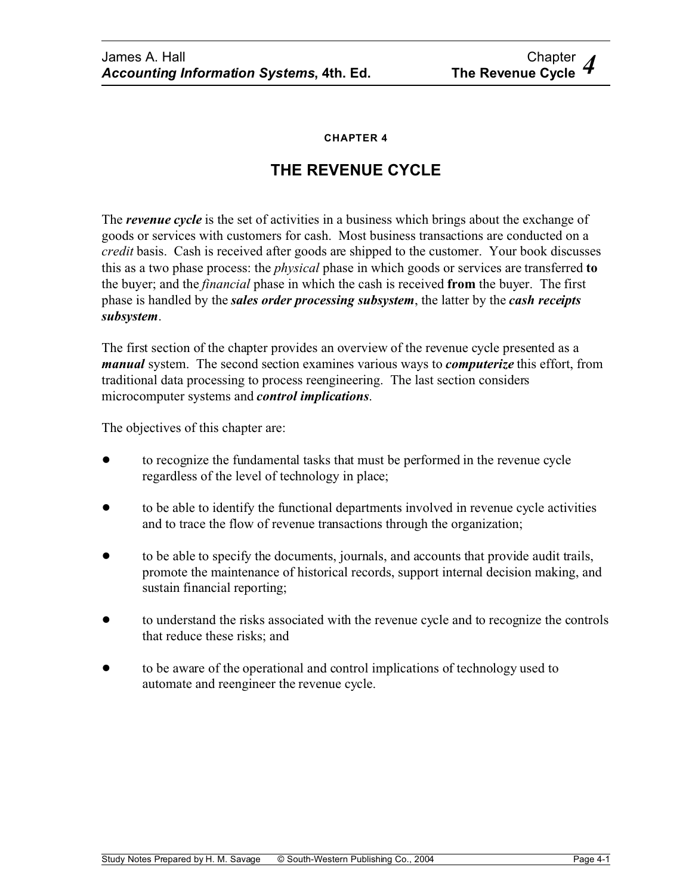**CHAPTER 4**

# **THE REVENUE CYCLE**

The *revenue cycle* is the set of activities in a business which brings about the exchange of goods or services with customers for cash. Most business transactions are conducted on a *credit* basis. Cash is received after goods are shipped to the customer. Your book discusses this as a two phase process: the *physical* phase in which goods or services are transferred **to** the buyer; and the *financial* phase in which the cash is received **from** the buyer. The first phase is handled by the *sales order processing subsystem*, the latter by the *cash receipts subsystem*.

The first section of the chapter provides an overview of the revenue cycle presented as a *manual* system. The second section examines various ways to *computerize* this effort, from traditional data processing to process reengineering. The last section considers microcomputer systems and *control implications*.

The objectives of this chapter are:

- ! to recognize the fundamental tasks that must be performed in the revenue cycle regardless of the level of technology in place;
- to be able to identify the functional departments involved in revenue cycle activities and to trace the flow of revenue transactions through the organization;
- to be able to specify the documents, journals, and accounts that provide audit trails, promote the maintenance of historical records, support internal decision making, and sustain financial reporting;
- to understand the risks associated with the revenue cycle and to recognize the controls that reduce these risks; and
- ! to be aware of the operational and control implications of technology used to automate and reengineer the revenue cycle.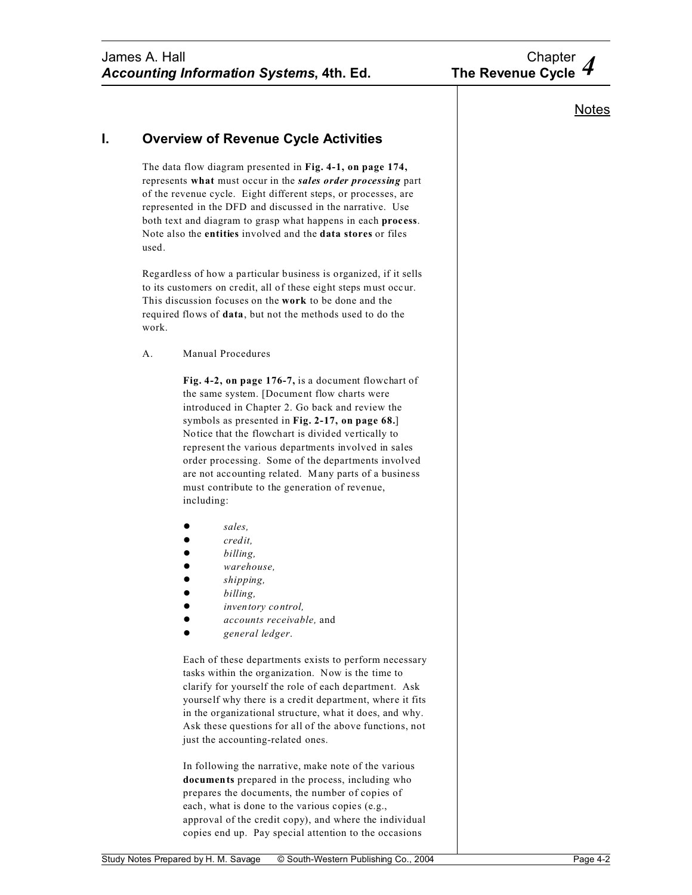# **I. Overview of Revenue Cycle Activities**

The data flow diagram presented in **Fig. 4-1, on page 174,** represents **what** must occur in the *sales order processing* part of the revenue cycle. Eight different steps, or processes, are represented in the DFD and discussed in the narrative. Use both text and diagram to grasp what happens in each **process**. Note also the **entities** involved and the **data stores** or files used.

Regardless of how a particular business is organized, if it sells to its customers on credit, all of these eight steps must occur. This discussion focuses on the **work** to be done and the required flows of **data**, but not the methods used to do the work.

A. Manual Procedures

**Fig. 4-2, on page 176-7,** is a document flowchart of the same system. [Document flow charts were introduced in Chapter 2. Go back and review the symbols as presented in **Fig. 2-17, on page 68.**] Notice that the flowchart is divided vertically to represent the various departments involved in sales order processing. Some of the departments involved are not accounting related. Many parts of a business must contribute to the generation of revenue, including:

- ! *sales,*
- ! *credit,*
- ! *billing,*
- ! *warehouse,*
- ! *shipping,*
- ! *billing,*
- $\bullet$  *inventory control,*
- ! *accounts receivable,* and
- ! *general ledger*.

Each of these departments exists to perform necessary tasks within the organization. Now is the time to clarify for yourself the role of each department. Ask yourself why there is a credit department, where it fits in the organizational structure, what it does, and why. Ask these questions for all of the above functions, not just the accounting-related ones.

In following the narrative, make note of the various **documents** prepared in the process, including who prepares the documents, the number of copies of each, what is done to the various copies (e.g., approval of the credit copy), and where the individual copies end up. Pay special attention to the occasions

# **Notes**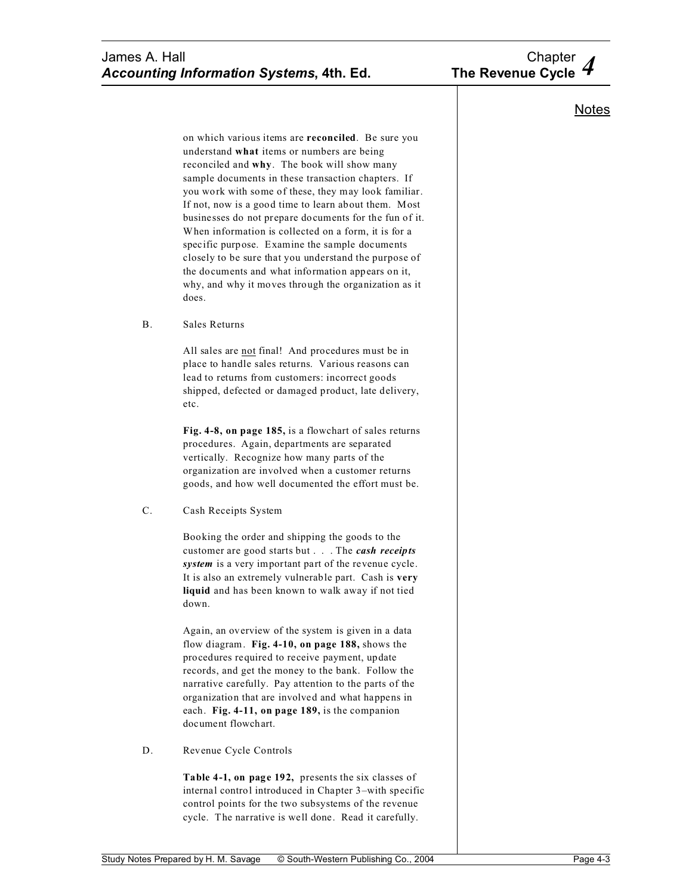

# **Notes**

on which various items are **reconciled**. Be sure you understand **what** items or numbers are being reconciled and **why**. The book will show many sample documents in these transaction chapters. If you work with some of these, they may look familiar. If not, now is a good time to learn about them. Most businesses do not prepare documents for the fun of it. When information is collected on a form, it is for a specific purpose. Examine the sample documents closely to be sure that you understand the purpose of the documents and what information appears on it, why, and why it moves through the organization as it does.

B. Sales Returns

All sales are not final! And procedures must be in place to handle sales returns. Various reasons can lead to returns from customers: incorrect goods shipped, defected or damaged product, late delivery, etc.

**Fig. 4-8, on page 185,** is a flowchart of sales returns procedures. Again, departments are separated vertically. Recognize how many parts of the organization are involved when a customer returns goods, and how well documented the effort must be.

C. Cash Receipts System

Booking the order and shipping the goods to the customer are good starts but . . . The *cash receipts system* is a very important part of the revenue cycle. It is also an extremely vulnerable part. Cash is **very liquid** and has been known to walk away if not tied down.

Again, an overview of the system is given in a data flow diagram. **Fig. 4-10, on page 188,** shows the procedures required to receive payment, update records, and get the money to the bank. Follow the narrative carefully. Pay attention to the parts of the organization that are involved and what happens in each. **Fig. 4-11, on page 189,** is the companion document flowchart.

D. Revenue Cycle Controls

**Table 4-1, on page 192,** presents the six classes of internal control introduced in Chapter 3–with specific control points for the two subsystems of the revenue cycle. The narrative is well done. Read it carefully.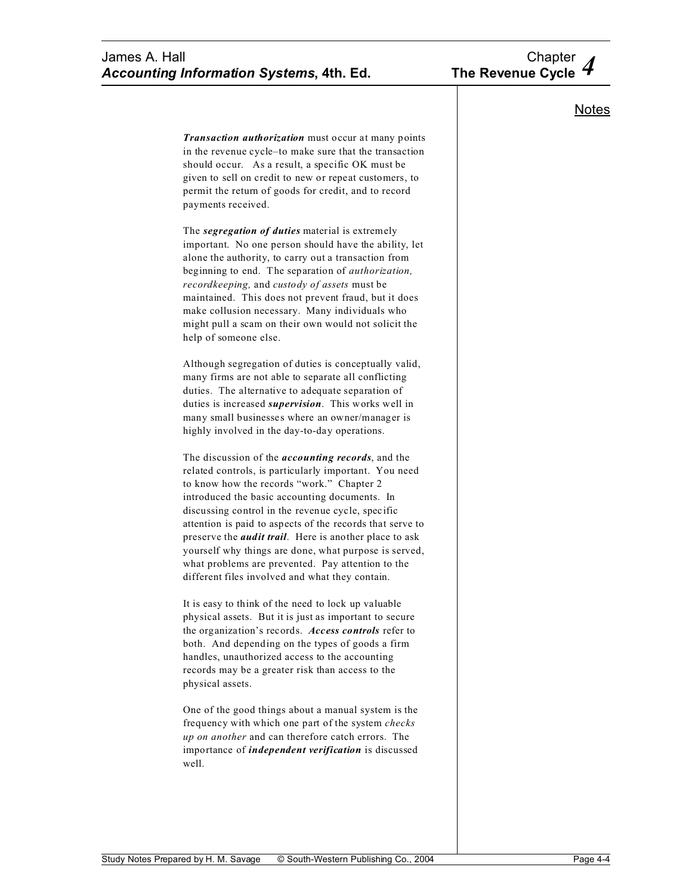# James A. Hall Chapter<br>Accounting Information Systems, 4th. Ed. The Revenue Cycle 4 *Accounting Information Systems, 4th. Ed.*

# **Notes**

*Transaction authorization* must occur at many points in the revenue cycle–to make sure that the transaction should occur. As a result, a specific OK must be given to sell on credit to new or repeat customers, to permit the return of goods for credit, and to record payments received.

The *segregation of duties* material is extremely important. No one person should have the ability, let alone the authority, to carry out a transaction from beginning to end. The separation of *authorization, recordkeeping,* and *custody of assets* must be maintained. This does not prevent fraud, but it does make collusion necessary. Many individuals who might pull a scam on their own would not solicit the help of someone else.

Although segregation of duties is conceptually valid, many firms are not able to separate all conflicting duties. The alternative to adequate separation of duties is increased *supervision*. This works well in many small businesses where an owner/manager is highly involved in the day-to-day operations.

The discussion of the *accounting records*, and the related controls, is particularly important. You need to know how the records "work." Chapter 2 introduced the basic accounting documents. In discussing control in the revenue cycle, specific attention is paid to aspects of the records that serve to preserve the *audit trail*. Here is another place to ask yourself why things are done, what purpose is served, what problems are prevented. Pay attention to the different files involved and what they contain.

It is easy to think of the need to lock up valuable physical assets. But it is just as important to secure the organization's records. *Access controls* refer to both. And depending on the types of goods a firm handles, unauthorized access to the accounting records may be a greater risk than access to the physical assets.

One of the good things about a manual system is the frequency with which one part of the system *checks up on another* and can therefore catch errors. The importance of *independent verification* is discussed well.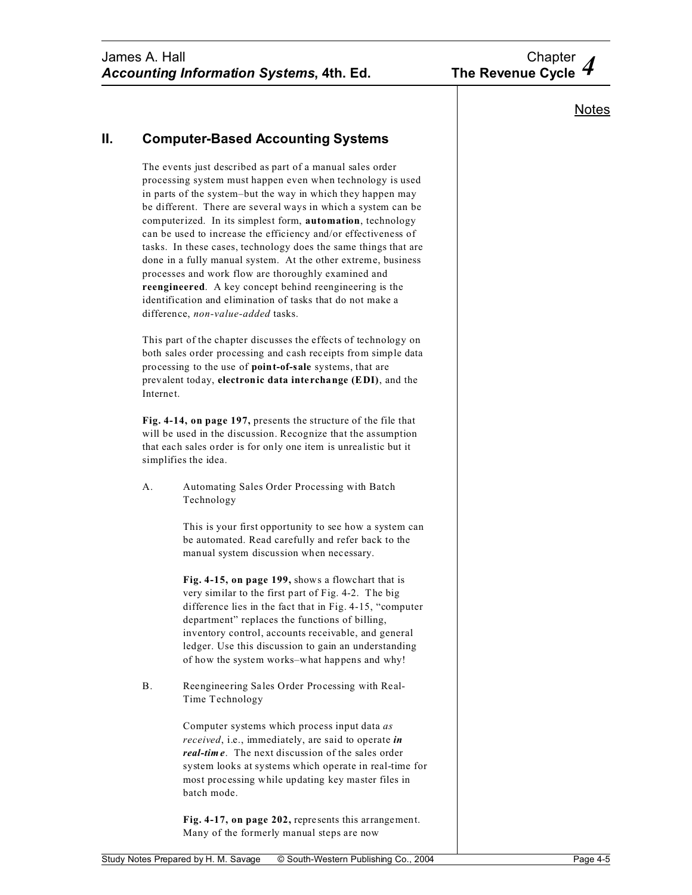# **II. Computer-Based Accounting Systems**

The events just described as part of a manual sales order processing system must happen even when technology is used in parts of the system–but the way in which they happen may be different. There are several ways in which a system can be computerized. In its simplest form, **automation**, technology can be used to increase the efficiency and/or effectiveness of tasks. In these cases, technology does the same things that are done in a fully manual system. At the other extreme, business processes and work flow are thoroughly examined and **reengineered**. A key concept behind reengineering is the identification and elimination of tasks that do not make a difference, *non-value-added* tasks.

This part of the chapter discusses the effects of technology on both sales order processing and cash receipts from simple data processing to the use of **point-of-sale** systems, that are prevalent today, **electronic data interchange (EDI)**, and the Internet.

**Fig. 4-14, on page 197,** presents the structure of the file that will be used in the discussion. Recognize that the assumption that each sales order is for only one item is unrealistic but it simplifies the idea.

A. Automating Sales Order Processing with Batch Technology

> This is your first opportunity to see how a system can be automated. Read carefully and refer back to the manual system discussion when necessary.

> **Fig. 4-15, on page 199,** shows a flowchart that is very similar to the first part of Fig. 4-2. The big difference lies in the fact that in Fig. 4-15, "computer department" replaces the functions of billing, inventory control, accounts receivable, and general ledger. Use this discussion to gain an understanding of how the system works–what happens and why!

B. Reengineering Sales Order Processing with Real-Time Technology

> Computer systems which process input data *as received*, i.e., immediately, are said to operate *in real-time*. The next discussion of the sales order system looks at systems which operate in real-time for most processing while updating key master files in batch mode.

**Fig. 4-17, on page 202,** represents this arrangement. Many of the formerly manual steps are now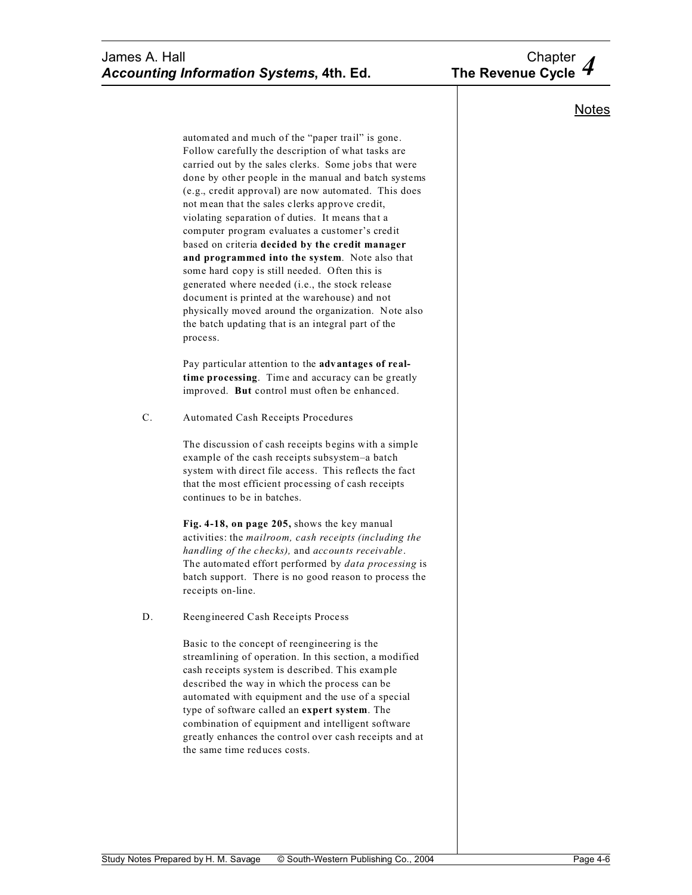# **Notes**

automated and much of the "paper trail" is gone. Follow carefully the description of what tasks are carried out by the sales clerks. Some jobs that were done by other people in the manual and batch systems (e.g., credit approval) are now automated. This does not mean that the sales clerks approve credit, violating separation of duties. It means that a computer program evaluates a customer's credit based on criteria **decided by the credit manager and programmed into the system**. Note also that some hard copy is still needed. Often this is generated where needed (i.e., the stock release document is printed at the warehouse) and not physically moved around the organization. Note also the batch updating that is an integral part of the process.

Pay particular attention to the **advantages of realtime processing**. Time and accuracy can be greatly improved. **But** control must often be enhanced.

C. Automated Cash Receipts Procedures

The discussion of cash receipts begins with a simple example of the cash receipts subsystem–a batch system with direct file access. This reflects the fact that the most efficient processing of cash receipts continues to be in batches.

**Fig. 4-18, on page 205,** shows the key manual activities: the *mailroom, cash receipts (including the handling of the checks),* and *accounts receivable*. The automated effort performed by *data processing* is batch support. There is no good reason to process the receipts on-line.

D. Reengineered Cash Receipts Process

Basic to the concept of reengineering is the streamlining of operation. In this section, a modified cash receipts system is described. This example described the way in which the process can be automated with equipment and the use of a special type of software called an **expert system**. The combination of equipment and intelligent software greatly enhances the control over cash receipts and at the same time reduces costs.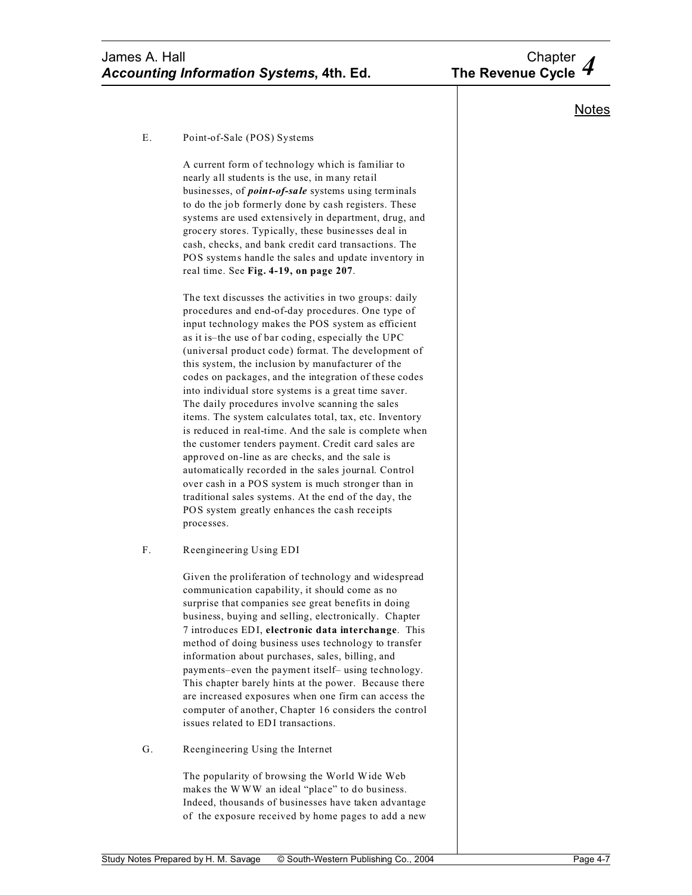

### E. Point-of-Sale (POS) Systems

A current form of technology which is familiar to nearly all students is the use, in many retail businesses, of *point-of-sale* systems using terminals to do the job formerly done by cash registers. These systems are used extensively in department, drug, and grocery stores. Typically, these businesses deal in cash, checks, and bank credit card transactions. The POS systems handle the sales and update inventory in real time. See **Fig. 4-19, on page 207**.

The text discusses the activities in two groups: daily procedures and end-of-day procedures. One type of input technology makes the POS system as efficient as it is–the use of bar coding, especially the UPC (universal product code) format. The development of this system, the inclusion by manufacturer of the codes on packages, and the integration of these codes into individual store systems is a great time saver. The daily procedures involve scanning the sales items. The system calculates total, tax, etc. Inventory is reduced in real-time. And the sale is complete when the customer tenders payment. Credit card sales are approved on-line as are checks, and the sale is automatically recorded in the sales journal. Control over cash in a POS system is much stronger than in traditional sales systems. At the end of the day, the POS system greatly enhances the cash receipts processes.

## F. Reengineering Using EDI

Given the proliferation of technology and widespread communication capability, it should come as no surprise that companies see great benefits in doing business, buying and selling, electronically. Chapter 7 introduces EDI, **electronic data interchange**. This method of doing business uses technology to transfer information about purchases, sales, billing, and payments–even the payment itself– using technology. This chapter barely hints at the power. Because there are increased exposures when one firm can access the computer of another, Chapter 16 considers the control issues related to EDI transactions.

### G. Reengineering Using the Internet

The popularity of browsing the World Wide Web makes the WWW an ideal "place" to do business. Indeed, thousands of businesses have taken advantage of the exposure received by home pages to add a new

## **Notes**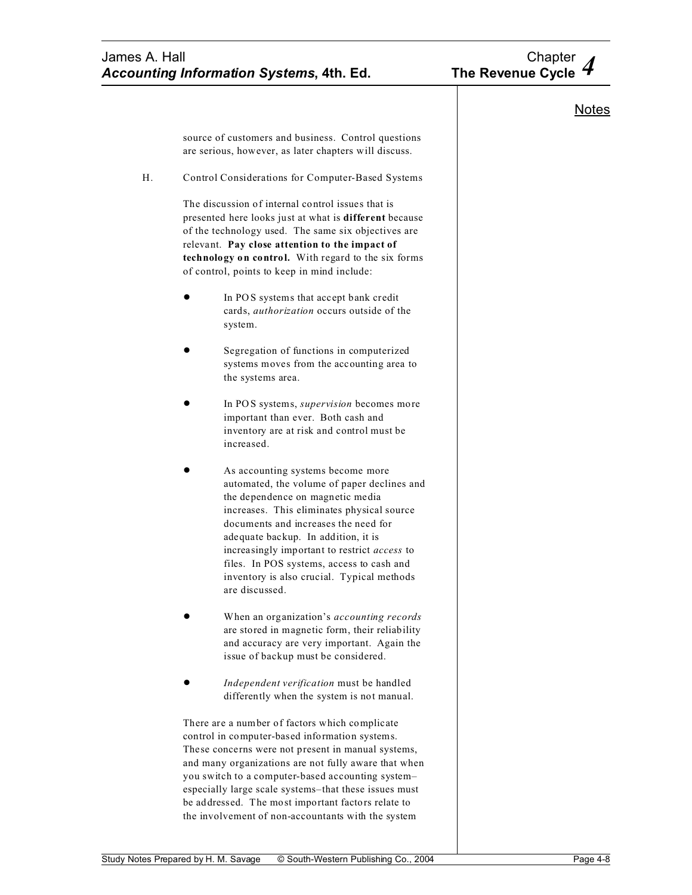

# **Notes**

source of customers and business. Control questions are serious, however, as later chapters will discuss.

H. Control Considerations for Computer-Based Systems

The discussion of internal control issues that is presented here looks just at what is **different** because of the technology used. The same six objectives are relevant. **Pay close attention to the impact of technology on control.** With regard to the six forms of control, points to keep in mind include:

- In POS systems that accept bank credit cards, *authorization* occurs outside of the system.
- Segregation of functions in computerized systems moves from the accounting area to the systems area.
- In POS systems, *supervision* becomes more important than ever. Both cash and inventory are at risk and control must be increased.
- As accounting systems become more automated, the volume of paper declines and the dependence on magnetic media increases. This eliminates physical source documents and increases the need for adequate backup. In addition, it is increasingly important to restrict *access* to files. In POS systems, access to cash and inventory is also crucial. Typical methods are discussed.
- ! When an organization's *accounting records* are stored in magnetic form, their reliability and accuracy are very important. Again the issue of backup must be considered.
- ! *Independent verification* must be handled differently when the system is not manual.

There are a number of factors which complicate control in computer-based information systems. These concerns were not present in manual systems, and many organizations are not fully aware that when you switch to a computer-based accounting system– especially large scale systems–that these issues must be addressed. The most important factors relate to the involvement of non-accountants with the system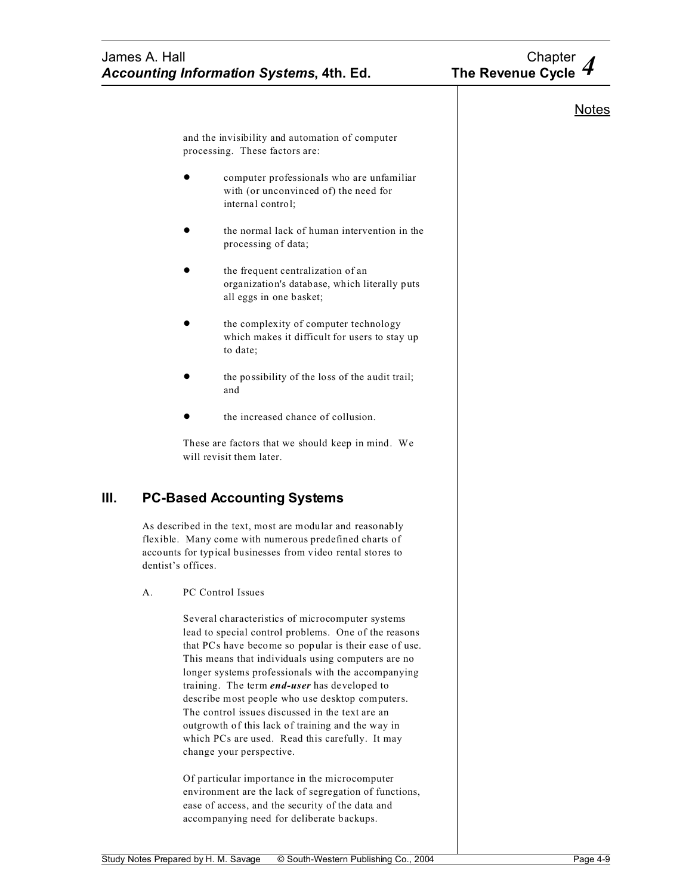|    | James A. Hall<br><b>Accounting Information Systems, 4th. Ed.</b> |                                                                                                                                                                                                                                                                                                                                                                                                                                                                                                                                                                                | Chapter<br>The Revenue Cycle |
|----|------------------------------------------------------------------|--------------------------------------------------------------------------------------------------------------------------------------------------------------------------------------------------------------------------------------------------------------------------------------------------------------------------------------------------------------------------------------------------------------------------------------------------------------------------------------------------------------------------------------------------------------------------------|------------------------------|
|    |                                                                  |                                                                                                                                                                                                                                                                                                                                                                                                                                                                                                                                                                                | <b>Notes</b>                 |
|    |                                                                  | and the invisibility and automation of computer<br>processing. These factors are:                                                                                                                                                                                                                                                                                                                                                                                                                                                                                              |                              |
|    |                                                                  | computer professionals who are unfamiliar<br>with (or unconvinced of) the need for<br>internal control;                                                                                                                                                                                                                                                                                                                                                                                                                                                                        |                              |
|    |                                                                  | the normal lack of human intervention in the<br>processing of data;                                                                                                                                                                                                                                                                                                                                                                                                                                                                                                            |                              |
|    |                                                                  | the frequent centralization of an<br>organization's database, which literally puts<br>all eggs in one basket;                                                                                                                                                                                                                                                                                                                                                                                                                                                                  |                              |
|    |                                                                  | the complexity of computer technology<br>which makes it difficult for users to stay up<br>to date:                                                                                                                                                                                                                                                                                                                                                                                                                                                                             |                              |
|    |                                                                  | the possibility of the loss of the audit trail;<br>and                                                                                                                                                                                                                                                                                                                                                                                                                                                                                                                         |                              |
|    |                                                                  | the increased chance of collusion.                                                                                                                                                                                                                                                                                                                                                                                                                                                                                                                                             |                              |
|    |                                                                  | These are factors that we should keep in mind. We<br>will revisit them later.                                                                                                                                                                                                                                                                                                                                                                                                                                                                                                  |                              |
| Ш. |                                                                  | <b>PC-Based Accounting Systems</b>                                                                                                                                                                                                                                                                                                                                                                                                                                                                                                                                             |                              |
|    |                                                                  | As described in the text, most are modular and reasonably<br>flexible. Many come with numerous predefined charts of<br>accounts for typical businesses from video rental stores to<br>dentist's offices.                                                                                                                                                                                                                                                                                                                                                                       |                              |
|    | А.                                                               | PC Control Issues                                                                                                                                                                                                                                                                                                                                                                                                                                                                                                                                                              |                              |
|    |                                                                  | Several characteristics of microcomputer systems<br>lead to special control problems. One of the reasons<br>that PCs have become so popular is their ease of use.<br>This means that individuals using computers are no<br>longer systems professionals with the accompanying<br>training. The term <i>end-user</i> has developed to<br>describe most people who use desktop computers.<br>The control issues discussed in the text are an<br>outgrowth of this lack of training and the way in<br>which PCs are used. Read this carefully. It may<br>change your perspective. |                              |
|    |                                                                  | Of particular importance in the microcomputer<br>environment are the lack of segregation of functions,<br>ease of access, and the security of the data and<br>accompanying need for deliberate backups.                                                                                                                                                                                                                                                                                                                                                                        |                              |